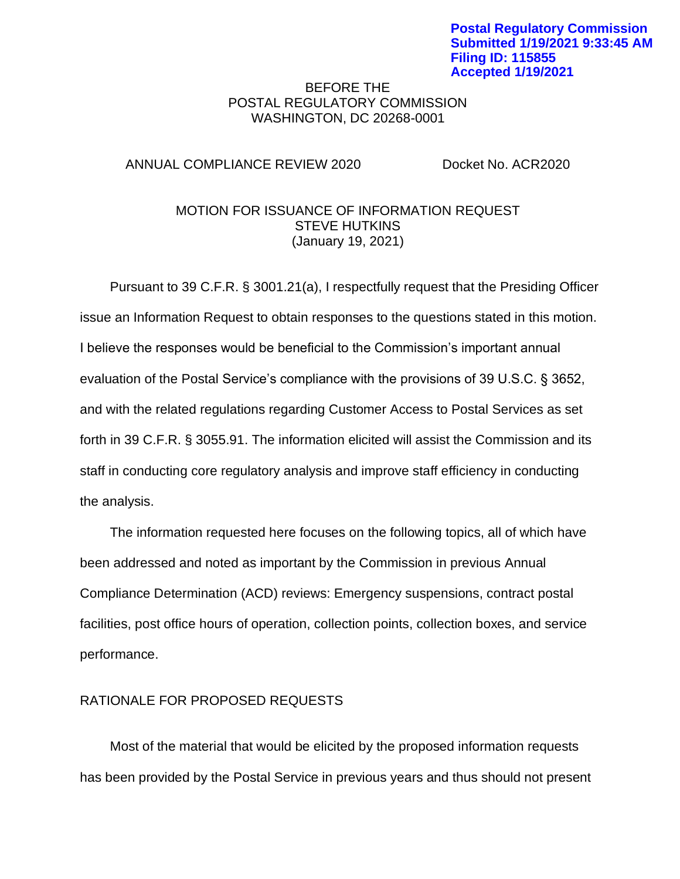## BEFORE THE POSTAL REGULATORY COMMISSION WASHINGTON, DC 20268-0001

## ANNUAL COMPLIANCE REVIEW 2020 Docket No. ACR2020

# MOTION FOR ISSUANCE OF INFORMATION REQUEST STEVE HUTKINS (January 19, 2021)

Pursuant to 39 C.F.R. § 3001.21(a), I respectfully request that the Presiding Officer issue an Information Request to obtain responses to the questions stated in this motion. I believe the responses would be beneficial to the Commission's important annual evaluation of the Postal Service's compliance with the provisions of 39 U.S.C. § 3652, and with the related regulations regarding Customer Access to Postal Services as set forth in 39 C.F.R. § 3055.91. The information elicited will assist the Commission and its staff in conducting core regulatory analysis and improve staff efficiency in conducting the analysis.

The information requested here focuses on the following topics, all of which have been addressed and noted as important by the Commission in previous Annual Compliance Determination (ACD) reviews: Emergency suspensions, contract postal facilities, post office hours of operation, collection points, collection boxes, and service performance.

# RATIONALE FOR PROPOSED REQUESTS

Most of the material that would be elicited by the proposed information requests has been provided by the Postal Service in previous years and thus should not present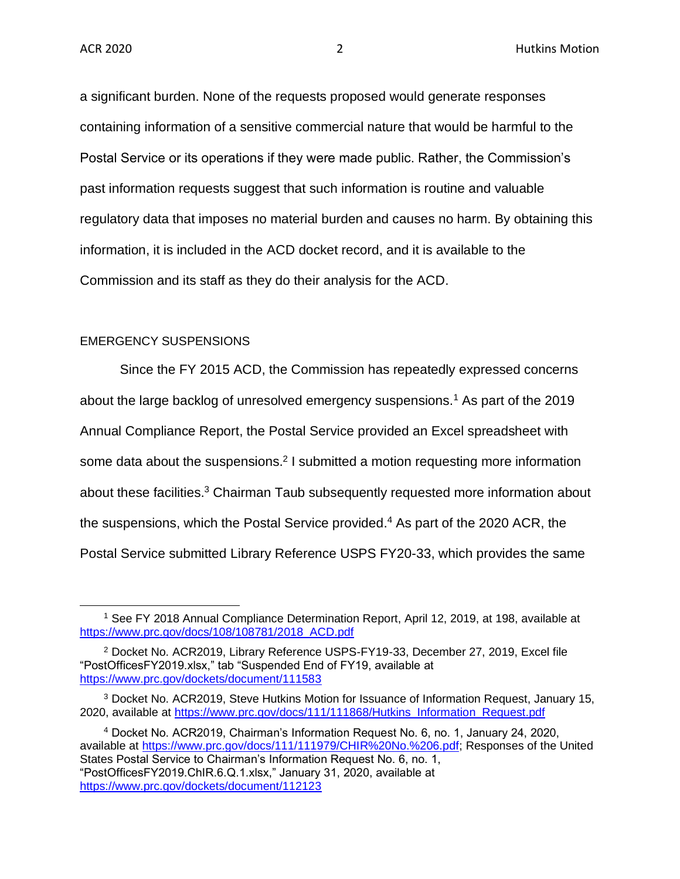a significant burden. None of the requests proposed would generate responses containing information of a sensitive commercial nature that would be harmful to the Postal Service or its operations if they were made public. Rather, the Commission's past information requests suggest that such information is routine and valuable regulatory data that imposes no material burden and causes no harm. By obtaining this information, it is included in the ACD docket record, and it is available to the Commission and its staff as they do their analysis for the ACD.

### EMERGENCY SUSPENSIONS

Since the FY 2015 ACD, the Commission has repeatedly expressed concerns about the large backlog of unresolved emergency suspensions.<sup>1</sup> As part of the 2019 Annual Compliance Report, the Postal Service provided an Excel spreadsheet with some data about the suspensions.<sup>2</sup> I submitted a motion requesting more information about these facilities.<sup>3</sup> Chairman Taub subsequently requested more information about the suspensions, which the Postal Service provided.<sup>4</sup> As part of the 2020 ACR, the Postal Service submitted Library Reference USPS FY20-33, which provides the same

<sup>4</sup> Docket No. ACR2019, Chairman's Information Request No. 6, no. 1, January 24, 2020, available at [https://www.prc.gov/docs/111/111979/CHIR%20No.%206.pdf;](https://www.prc.gov/docs/111/111979/CHIR%20No.%206.pdf) Responses of the United States Postal Service to Chairman's Information Request No. 6, no. 1, "PostOfficesFY2019.ChIR.6.Q.1.xlsx," January 31, 2020, available at <https://www.prc.gov/dockets/document/112123>

<sup>&</sup>lt;sup>1</sup> See FY 2018 Annual Compliance Determination Report, April 12, 2019, at 198, available at [https://www.prc.gov/docs/108/108781/2018\\_ACD.pdf](https://www.prc.gov/docs/108/108781/2018_ACD.pdf)

<sup>2</sup> Docket No. ACR2019, Library Reference USPS-FY19-33, December 27, 2019, Excel file "PostOfficesFY2019.xlsx," tab "Suspended End of FY19, available at <https://www.prc.gov/dockets/document/111583>

<sup>3</sup> Docket No. ACR2019, Steve Hutkins Motion for Issuance of Information Request, January 15, 2020, available at [https://www.prc.gov/docs/111/111868/Hutkins\\_Information\\_Request.pdf](https://www.prc.gov/docs/111/111868/Hutkins_Information_Request.pdf)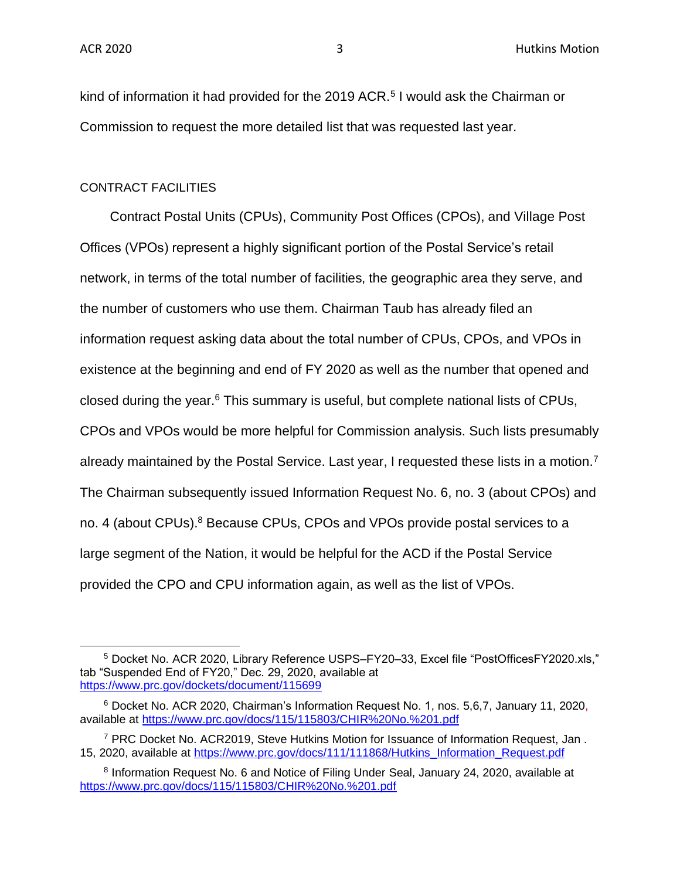kind of information it had provided for the 2019 ACR.<sup>5</sup> I would ask the Chairman or Commission to request the more detailed list that was requested last year.

### CONTRACT FACILITIES

Contract Postal Units (CPUs), Community Post Offices (CPOs), and Village Post Offices (VPOs) represent a highly significant portion of the Postal Service's retail network, in terms of the total number of facilities, the geographic area they serve, and the number of customers who use them. Chairman Taub has already filed an information request asking data about the total number of CPUs, CPOs, and VPOs in existence at the beginning and end of FY 2020 as well as the number that opened and closed during the year. $6$  This summary is useful, but complete national lists of CPUs, CPOs and VPOs would be more helpful for Commission analysis. Such lists presumably already maintained by the Postal Service. Last year, I requested these lists in a motion.<sup>7</sup> The Chairman subsequently issued Information Request No. 6, no. 3 (about CPOs) and no. 4 (about CPUs).<sup>8</sup> Because CPUs, CPOs and VPOs provide postal services to a large segment of the Nation, it would be helpful for the ACD if the Postal Service provided the CPO and CPU information again, as well as the list of VPOs.

<sup>5</sup> Docket No. ACR 2020, Library Reference USPS–FY20–33, Excel file "PostOfficesFY2020.xls," tab "Suspended End of FY20," Dec. 29, 2020, available at <https://www.prc.gov/dockets/document/115699>

<sup>6</sup> Docket No. ACR 2020, Chairman's Information Request No. 1, nos. 5,6,7, January 11, 2020, available at<https://www.prc.gov/docs/115/115803/CHIR%20No.%201.pdf>

<sup>7</sup> PRC Docket No. ACR2019, Steve Hutkins Motion for Issuance of Information Request, Jan . 15, 2020, available at [https://www.prc.gov/docs/111/111868/Hutkins\\_Information\\_Request.pdf](https://www.prc.gov/docs/111/111868/Hutkins_Information_Request.pdf)

<sup>&</sup>lt;sup>8</sup> Information Request No. 6 and Notice of Filing Under Seal, January 24, 2020, available at <https://www.prc.gov/docs/115/115803/CHIR%20No.%201.pdf>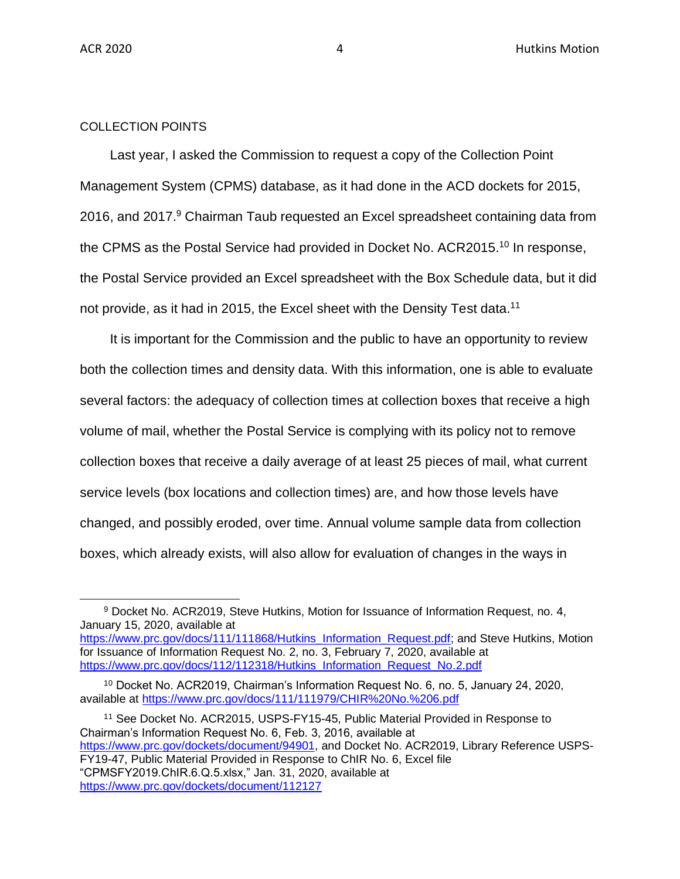### COLLECTION POINTS

Last year, I asked the Commission to request a copy of the Collection Point Management System (CPMS) database, as it had done in the ACD dockets for 2015, 2016, and 2017.<sup>9</sup> Chairman Taub requested an Excel spreadsheet containing data from the CPMS as the Postal Service had provided in Docket No. ACR2015.<sup>10</sup> In response, the Postal Service provided an Excel spreadsheet with the Box Schedule data, but it did not provide, as it had in 2015, the Excel sheet with the Density Test data.<sup>11</sup>

It is important for the Commission and the public to have an opportunity to review both the collection times and density data. With this information, one is able to evaluate several factors: the adequacy of collection times at collection boxes that receive a high volume of mail, whether the Postal Service is complying with its policy not to remove collection boxes that receive a daily average of at least 25 pieces of mail, what current service levels (box locations and collection times) are, and how those levels have changed, and possibly eroded, over time. Annual volume sample data from collection boxes, which already exists, will also allow for evaluation of changes in the ways in

<sup>11</sup> See Docket No. ACR2015, USPS-FY15-45, Public Material Provided in Response to Chairman's Information Request No. 6, Feb. 3, 2016, available at [https://www.prc.gov/dockets/document/94901,](https://www.prc.gov/dockets/document/94901) and Docket No. ACR2019, Library Reference USPS-FY19-47, Public Material Provided in Response to ChIR No. 6, Excel file "CPMSFY2019.ChIR.6.Q.5.xlsx," Jan. 31, 2020, available at <https://www.prc.gov/dockets/document/112127>

<sup>9</sup> Docket No. ACR2019, Steve Hutkins, Motion for Issuance of Information Request, no. 4, January 15, 2020, available at [https://www.prc.gov/docs/111/111868/Hutkins\\_Information\\_Request.pdf;](https://www.prc.gov/docs/111/111868/Hutkins_Information_Request.pdf) and Steve Hutkins, Motion for Issuance of Information Request No. 2, no. 3, February 7, 2020, available at [https://www.prc.gov/docs/112/112318/Hutkins\\_Information\\_Request\\_No.2.pdf](https://www.prc.gov/docs/112/112318/Hutkins_Information_Request_No.2.pdf)

<sup>10</sup> Docket No. ACR2019, Chairman's Information Request No. 6, no. 5, January 24, 2020, available at<https://www.prc.gov/docs/111/111979/CHIR%20No.%206.pdf>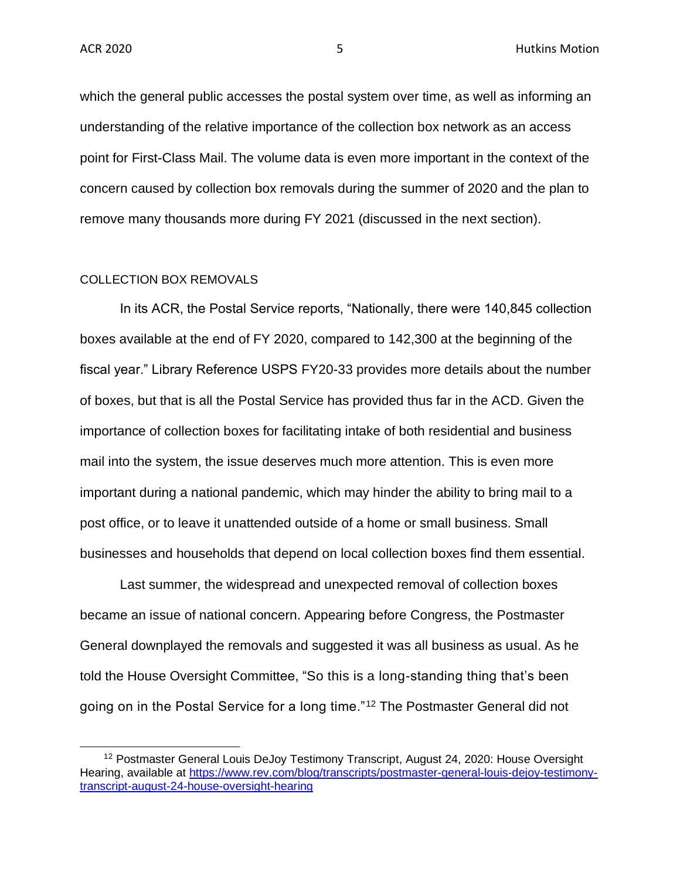which the general public accesses the postal system over time, as well as informing an understanding of the relative importance of the collection box network as an access point for First-Class Mail. The volume data is even more important in the context of the concern caused by collection box removals during the summer of 2020 and the plan to remove many thousands more during FY 2021 (discussed in the next section).

#### COLLECTION BOX REMOVALS

In its ACR, the Postal Service reports, "Nationally, there were 140,845 collection boxes available at the end of FY 2020, compared to 142,300 at the beginning of the fiscal year." Library Reference USPS FY20-33 provides more details about the number of boxes, but that is all the Postal Service has provided thus far in the ACD. Given the importance of collection boxes for facilitating intake of both residential and business mail into the system, the issue deserves much more attention. This is even more important during a national pandemic, which may hinder the ability to bring mail to a post office, or to leave it unattended outside of a home or small business. Small businesses and households that depend on local collection boxes find them essential.

Last summer, the widespread and unexpected removal of collection boxes became an issue of national concern. Appearing before Congress, the Postmaster General downplayed the removals and suggested it was all business as usual. As he told the House Oversight Committee, "So this is a long-standing thing that's been going on in the Postal Service for a long time."<sup>12</sup> The Postmaster General did not

<sup>&</sup>lt;sup>12</sup> Postmaster General Louis DeJoy Testimony Transcript, August 24, 2020: House Oversight Hearing, available at [https://www.rev.com/blog/transcripts/postmaster-general-louis-dejoy-testimony](https://www.rev.com/blog/transcripts/postmaster-general-louis-dejoy-testimony-transcript-august-24-house-oversight-hearing)[transcript-august-24-house-oversight-hearing](https://www.rev.com/blog/transcripts/postmaster-general-louis-dejoy-testimony-transcript-august-24-house-oversight-hearing)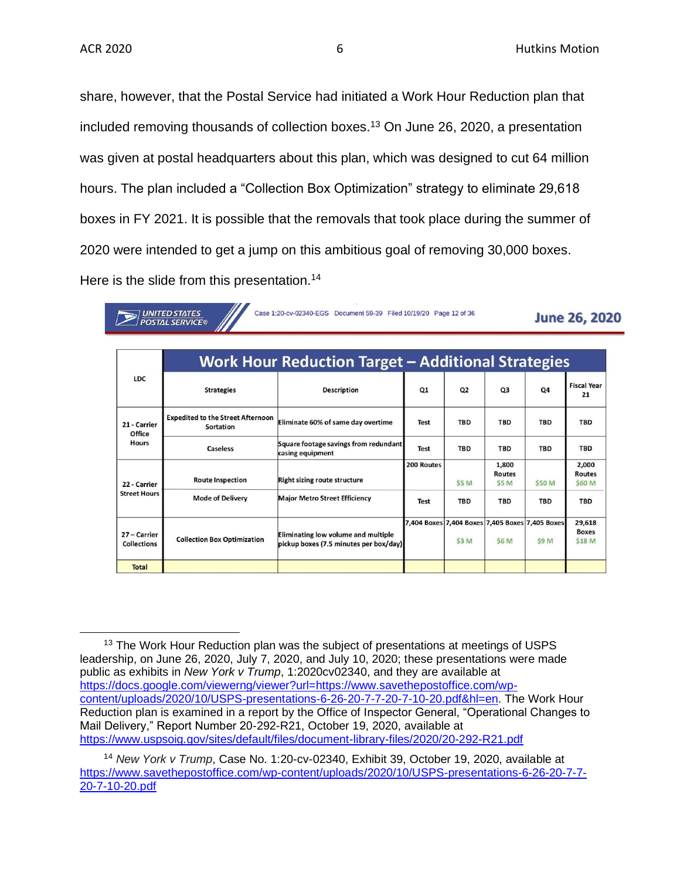share, however, that the Postal Service had initiated a Work Hour Reduction plan that included removing thousands of collection boxes.<sup>13</sup> On June 26, 2020, a presentation was given at postal headquarters about this plan, which was designed to cut 64 million hours. The plan included a "Collection Box Optimization" strategy to eliminate 29,618 boxes in FY 2021. It is possible that the removals that took place during the summer of 2020 were intended to get a jump on this ambitious goal of removing 30,000 boxes. Here is the slide from this presentation.<sup>14</sup>

**UNITED STATES POSTAL SERVICE®** 

Case 1:20-cv-02340-EGS Document 59-39 Filed 10/19/20 Page 12 of 36

**June 26, 2020** 

| <b>LDC</b>                             | <b>Work Hour Reduction Target – Additional Strategies</b> |                                                                               |                |                |                                 |                                                          |                                  |  |  |  |  |
|----------------------------------------|-----------------------------------------------------------|-------------------------------------------------------------------------------|----------------|----------------|---------------------------------|----------------------------------------------------------|----------------------------------|--|--|--|--|
|                                        | <b>Strategies</b>                                         | <b>Description</b>                                                            | Q <sub>1</sub> | Q <sub>2</sub> | Q <sub>3</sub>                  | Q4                                                       | <b>Fiscal Year</b><br>21         |  |  |  |  |
| 21 - Carrier<br>Office<br><b>Hours</b> | <b>Expedited to the Street Afternoon</b><br>Sortation     | Eliminate 60% of same day overtime                                            | <b>Test</b>    | <b>TBD</b>     | <b>TBD</b>                      | <b>TBD</b>                                               | <b>TBD</b>                       |  |  |  |  |
|                                        | Caseless                                                  | Square footage savings from redundant<br>casing equipment                     | <b>Test</b>    | <b>TBD</b>     | <b>TBD</b>                      | <b>TBD</b>                                               | <b>TBD</b>                       |  |  |  |  |
| 22 - Carrier<br><b>Street Hours</b>    | <b>Route Inspection</b>                                   | <b>Right sizing route structure</b>                                           | 200 Routes     | \$5 M          | 1,800<br><b>Routes</b><br>\$5 M | \$50 M                                                   | 2,000<br><b>Routes</b><br>\$60 M |  |  |  |  |
|                                        | <b>Mode of Delivery</b>                                   | <b>Major Metro Street Efficiency</b>                                          | <b>Test</b>    | <b>TBD</b>     | <b>TBD</b>                      | <b>TBD</b>                                               | <b>TBD</b>                       |  |  |  |  |
| 27 – Carrier<br><b>Collections</b>     | <b>Collection Box Optimization</b>                        | Eliminating low volume and multiple<br>pickup boxes (7.5 minutes per box/day) |                | \$3 M          | <b>\$6 M</b>                    | 7,404 Boxes 7,404 Boxes 7,405 Boxes 7,405 Boxes<br>\$9 M | 29,618<br><b>Boxes</b><br>\$18 M |  |  |  |  |
| <b>Total</b>                           |                                                           |                                                                               |                |                |                                 |                                                          |                                  |  |  |  |  |

<sup>&</sup>lt;sup>13</sup> The Work Hour Reduction plan was the subject of presentations at meetings of USPS leadership, on June 26, 2020, July 7, 2020, and July 10, 2020; these presentations were made public as exhibits in *New York v Trump*, 1:2020cv02340, and they are available at [https://docs.google.com/viewerng/viewer?url=https://www.savethepostoffice.com/wp](https://docs.google.com/viewerng/viewer?url=https://www.savethepostoffice.com/wp-content/uploads/2020/10/USPS-presentations-6-26-20-7-7-20-7-10-20.pdf&hl=en)[content/uploads/2020/10/USPS-presentations-6-26-20-7-7-20-7-10-20.pdf&hl=en.](https://docs.google.com/viewerng/viewer?url=https://www.savethepostoffice.com/wp-content/uploads/2020/10/USPS-presentations-6-26-20-7-7-20-7-10-20.pdf&hl=en) The Work Hour Reduction plan is examined in a report by the Office of Inspector General, "Operational Changes to Mail Delivery," Report Number 20-292-R21, October 19, 2020, available at <https://www.uspsoig.gov/sites/default/files/document-library-files/2020/20-292-R21.pdf>

<sup>14</sup> *New York v Trump*, Case No. 1:20-cv-02340, Exhibit 39, October 19, 2020, available at [https://www.savethepostoffice.com/wp-content/uploads/2020/10/USPS-presentations-6-26-20-7-7-](https://www.savethepostoffice.com/wp-content/uploads/2020/10/USPS-presentations-6-26-20-7-7-20-7-10-20.pdf) [20-7-10-20.pdf](https://www.savethepostoffice.com/wp-content/uploads/2020/10/USPS-presentations-6-26-20-7-7-20-7-10-20.pdf)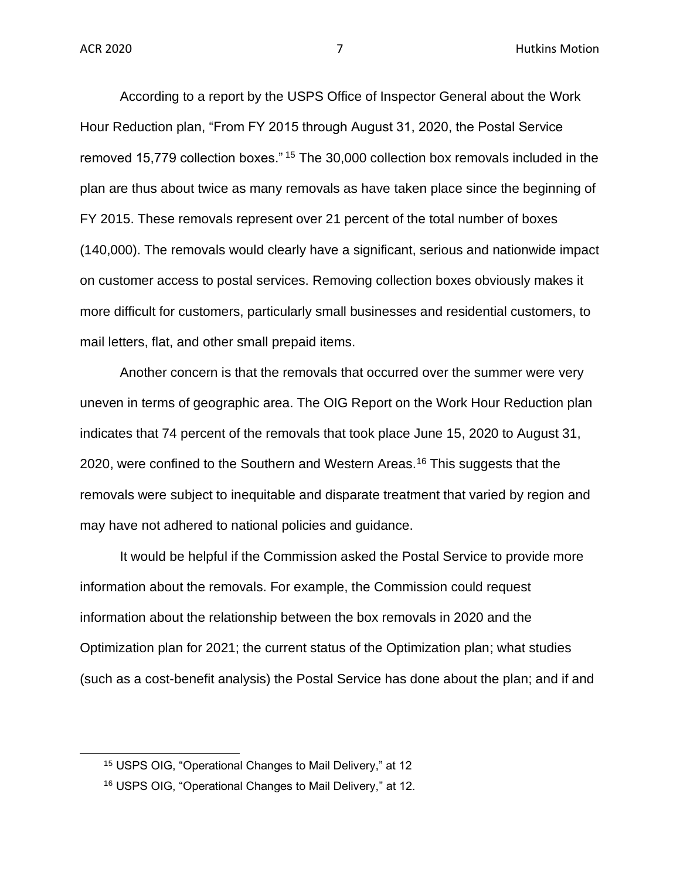According to a report by the USPS Office of Inspector General about the Work Hour Reduction plan, "From FY 2015 through August 31, 2020, the Postal Service removed 15,779 collection boxes." <sup>15</sup> The 30,000 collection box removals included in the plan are thus about twice as many removals as have taken place since the beginning of FY 2015. These removals represent over 21 percent of the total number of boxes (140,000). The removals would clearly have a significant, serious and nationwide impact on customer access to postal services. Removing collection boxes obviously makes it more difficult for customers, particularly small businesses and residential customers, to mail letters, flat, and other small prepaid items.

Another concern is that the removals that occurred over the summer were very uneven in terms of geographic area. The OIG Report on the Work Hour Reduction plan indicates that 74 percent of the removals that took place June 15, 2020 to August 31, 2020, were confined to the Southern and Western Areas.<sup>16</sup> This suggests that the removals were subject to inequitable and disparate treatment that varied by region and may have not adhered to national policies and guidance.

It would be helpful if the Commission asked the Postal Service to provide more information about the removals. For example, the Commission could request information about the relationship between the box removals in 2020 and the Optimization plan for 2021; the current status of the Optimization plan; what studies (such as a cost-benefit analysis) the Postal Service has done about the plan; and if and

<sup>15</sup> USPS OIG, "Operational Changes to Mail Delivery," at 12

<sup>16</sup> USPS OIG, "Operational Changes to Mail Delivery," at 12.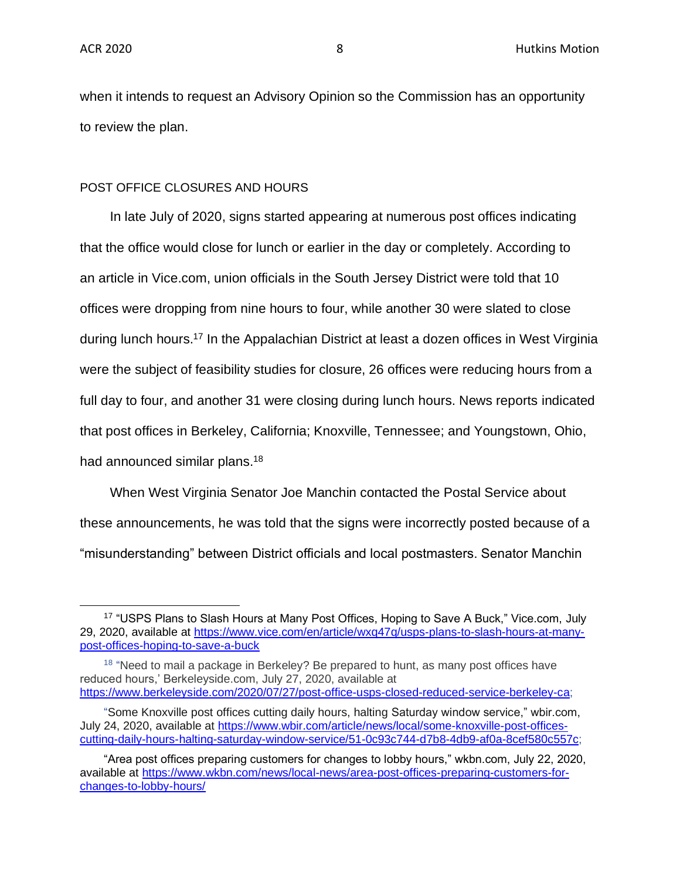when it intends to request an Advisory Opinion so the Commission has an opportunity to review the plan.

#### POST OFFICE CLOSURES AND HOURS

In late July of 2020, signs started appearing at numerous post offices indicating that the office would close for lunch or earlier in the day or completely. According to an article in Vice.com, union officials in the South Jersey District were told that 10 offices were dropping from nine hours to four, while another 30 were slated to close during lunch hours.<sup>17</sup> In the Appalachian District at least a dozen offices in West Virginia were the subject of feasibility studies for closure, 26 offices were reducing hours from a full day to four, and another 31 were closing during lunch hours. News reports indicated that post offices in Berkeley, California; Knoxville, Tennessee; and Youngstown, Ohio, had announced similar plans.<sup>18</sup>

When West Virginia Senator Joe Manchin contacted the Postal Service about these announcements, he was told that the signs were incorrectly posted because of a "misunderstanding" between District officials and local postmasters. Senator Manchin

<sup>&</sup>lt;sup>17</sup> "USPS Plans to Slash Hours at Many Post Offices, Hoping to Save A Buck," Vice.com, July 29, 2020, available at [https://www.vice.com/en/article/wxq47q/usps-plans-to-slash-hours-at-many](https://www.vice.com/en/article/wxq47q/usps-plans-to-slash-hours-at-many-post-offices-hoping-to-save-a-buck)[post-offices-hoping-to-save-a-buck](https://www.vice.com/en/article/wxq47q/usps-plans-to-slash-hours-at-many-post-offices-hoping-to-save-a-buck)

<sup>&</sup>lt;sup>18</sup> "Need to mail a package in Berkeley? Be prepared to hunt, as many post offices have reduced hours,' Berkeleyside.com, July 27, 2020, available at [https://www.berkeleyside.com/2020/07/27/post-office-usps-closed-reduced-service-berkeley-ca;](https://www.berkeleyside.com/2020/07/27/post-office-usps-closed-reduced-service-berkeley-ca)

<sup>&</sup>quot;Some Knoxville post offices cutting daily hours, halting Saturday window service," wbir.com, July 24, 2020, available at [https://www.wbir.com/article/news/local/some-knoxville-post-offices](https://www.wbir.com/article/news/local/some-knoxville-post-offices-cutting-daily-hours-halting-saturday-window-service/51-0c93c744-d7b8-4db9-af0a-8cef580c557c)[cutting-daily-hours-halting-saturday-window-service/51-0c93c744-d7b8-4db9-af0a-8cef580c557c;](https://www.wbir.com/article/news/local/some-knoxville-post-offices-cutting-daily-hours-halting-saturday-window-service/51-0c93c744-d7b8-4db9-af0a-8cef580c557c)

<sup>&</sup>quot;Area post offices preparing customers for changes to lobby hours," wkbn.com, July 22, 2020, available at [https://www.wkbn.com/news/local-news/area-post-offices-preparing-customers-for](https://www.wkbn.com/news/local-news/area-post-offices-preparing-customers-for-changes-to-lobby-hours/)[changes-to-lobby-hours/](https://www.wkbn.com/news/local-news/area-post-offices-preparing-customers-for-changes-to-lobby-hours/)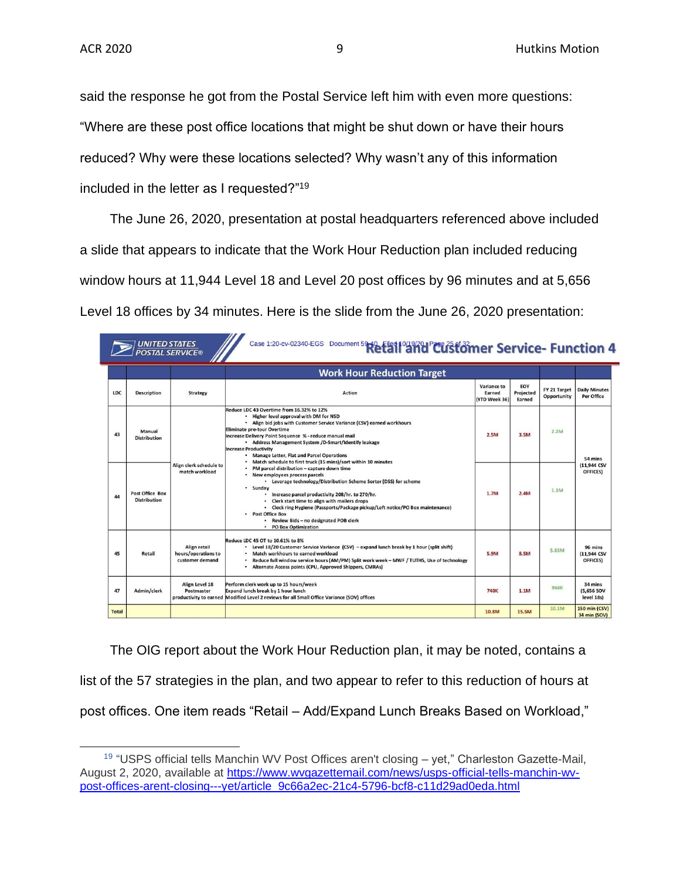said the response he got from the Postal Service left him with even more questions: "Where are these post office locations that might be shut down or have their hours reduced? Why were these locations selected? Why wasn't any of this information included in the letter as I requested?"<sup>19</sup>

The June 26, 2020, presentation at postal headquarters referenced above included a slide that appears to indicate that the Work Hour Reduction plan included reducing window hours at 11,944 Level 18 and Level 20 post offices by 96 minutes and at 5,656 Level 18 offices by 34 minutes. Here is the slide from the June 26, 2020 presentation:

|              |                                               | <b>UNITED STATES<br/>POSTAL SERVICE®</b>               | Case 1:20-cv-02340-EGS Document 59-10 Filed 10/19/201 PCUGStomer Service- Function 4                                                                                                                                                                                                                                                                                                                                                                                                                                                                                                                                                                                                                                                                                                                                                                                                                                             |                                        |                            |                             |                                      |
|--------------|-----------------------------------------------|--------------------------------------------------------|----------------------------------------------------------------------------------------------------------------------------------------------------------------------------------------------------------------------------------------------------------------------------------------------------------------------------------------------------------------------------------------------------------------------------------------------------------------------------------------------------------------------------------------------------------------------------------------------------------------------------------------------------------------------------------------------------------------------------------------------------------------------------------------------------------------------------------------------------------------------------------------------------------------------------------|----------------------------------------|----------------------------|-----------------------------|--------------------------------------|
|              |                                               |                                                        | <b>Work Hour Reduction Target</b>                                                                                                                                                                                                                                                                                                                                                                                                                                                                                                                                                                                                                                                                                                                                                                                                                                                                                                |                                        |                            |                             |                                      |
| <b>LDC</b>   | <b>Description</b>                            | <b>Strategy</b>                                        | <b>Action</b>                                                                                                                                                                                                                                                                                                                                                                                                                                                                                                                                                                                                                                                                                                                                                                                                                                                                                                                    | Variance to<br>Earned<br>(YTD Week 36) | EOY<br>Projected<br>Earned | FY 21 Target<br>Opportunity | <b>Daily Minutes</b><br>Per Office   |
| 43           | Manual<br><b>Distribution</b>                 |                                                        | Reduce LDC 43 Overtime from 16.32% to 12%<br>. Higher level approval with DM for NSD<br>. Align bid jobs with Customer Service Variance (CSV) earned workhours<br><b>Eliminate pre-tour Overtime</b><br>Increase Delivery Point Sequence % - reduce manual mail<br>• Address Management System /D-Smart/Identify leakage<br><b>Increase Productivity</b><br>. Manage Letter, Flat and Parcel Operations<br>. Match schedule to first truck (15 mins)/sort within 10 minutes<br>• PM parcel distribution - capture down time<br>· New employees process parcels<br>• Leverage technology/Distribution Scheme Sorter (DSS) for scheme<br>· Sunday<br>Increase parcel productivity 208/hr. to 270/hr.<br>Clerk start time to align with mailers drops<br>· Clock ring Hygiene (Passports/Package pickup/Left notice/PO Box maintenance)<br><b>Post Office Box</b><br>Review Bids - no designated POB clerk<br>• PO Box Optimization | 2.5M                                   | 3.5M                       | 2.2M                        | 54 mins                              |
| 44           | <b>Post Office Box</b><br><b>Distribution</b> | Align clerk schedule to<br>match workload              |                                                                                                                                                                                                                                                                                                                                                                                                                                                                                                                                                                                                                                                                                                                                                                                                                                                                                                                                  | 1.7M                                   | 2.4M                       | 1.1M                        | (11.944 CSV<br>OFFICES)              |
| 45           | Retail                                        | Align retail<br>hours/operations to<br>customer demand | Reduce LDC 45 OT to 10.61% to 8%<br>. Level 18/20 Customer Service Variance (CSV) - expand lunch break by 1 hour (split shift)<br>Match workhours to earned workload<br>Reduce full window service hours (AM/PM) Split work week - MWF / TUTHS, Use of technology<br>Alternate Access points (CPU, Approved Shippers, CMRAs)<br>٠                                                                                                                                                                                                                                                                                                                                                                                                                                                                                                                                                                                                | 5.9M                                   | 8.5M                       | 5.83M                       | 96 mins<br>(11,944 CSV<br>OFFICES)   |
| 47           | Admin/clerk                                   | Align Level 18<br>Postmaster                           | Perform clerk work up to 15 hours/week<br>Expand lunch break by 1 hour lunch<br>productivity to earned Modified Level 2 reviews for all Small Office Variance (SOV) offices                                                                                                                                                                                                                                                                                                                                                                                                                                                                                                                                                                                                                                                                                                                                                      | <b>740K</b>                            | 1.1M                       | 968K                        | 34 mins<br>(5,656 SOV<br>level 18s)  |
| <b>Total</b> |                                               |                                                        |                                                                                                                                                                                                                                                                                                                                                                                                                                                                                                                                                                                                                                                                                                                                                                                                                                                                                                                                  | 10.8M                                  | 15.5M                      | 10.1M                       | <b>150 min (CSV)</b><br>34 min (SOV) |

The OIG report about the Work Hour Reduction plan, it may be noted, contains a list of the 57 strategies in the plan, and two appear to refer to this reduction of hours at post offices. One item reads "Retail – Add/Expand Lunch Breaks Based on Workload,"

<sup>&</sup>lt;sup>19</sup> "USPS official tells Manchin WV Post Offices aren't closing – yet," Charleston Gazette-Mail, August 2, 2020, available at [https://www.wvgazettemail.com/news/usps-official-tells-manchin-wv](https://www.wvgazettemail.com/news/usps-official-tells-manchin-wv-post-offices-arent-closing---yet/article_9c66a2ec-21c4-5796-bcf8-c11d29ad0eda.html)[post-offices-arent-closing---yet/article\\_9c66a2ec-21c4-5796-bcf8-c11d29ad0eda.html](https://www.wvgazettemail.com/news/usps-official-tells-manchin-wv-post-offices-arent-closing---yet/article_9c66a2ec-21c4-5796-bcf8-c11d29ad0eda.html)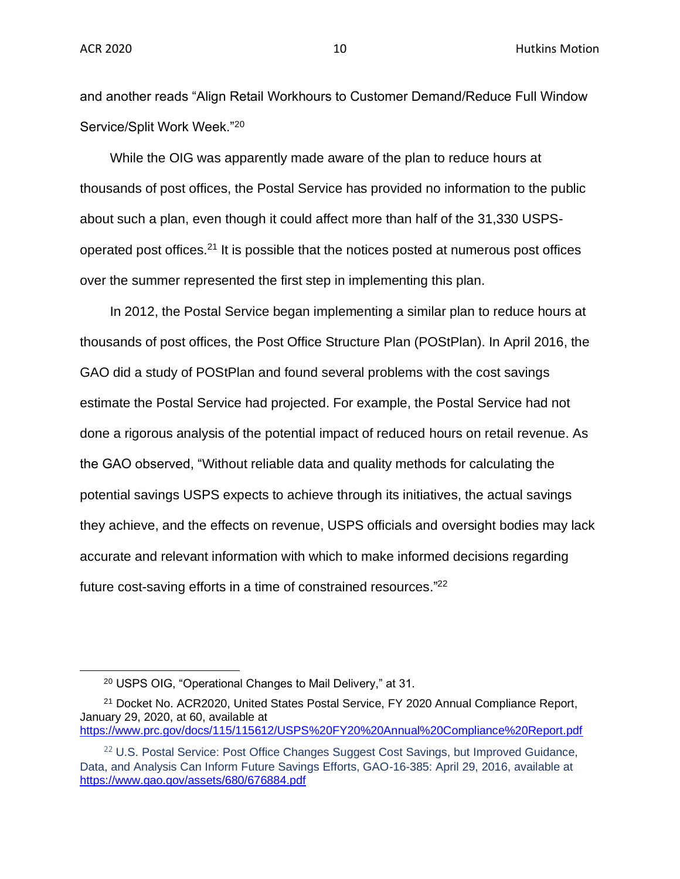and another reads "Align Retail Workhours to Customer Demand/Reduce Full Window Service/Split Work Week."<sup>20</sup>

While the OIG was apparently made aware of the plan to reduce hours at thousands of post offices, the Postal Service has provided no information to the public about such a plan, even though it could affect more than half of the 31,330 USPSoperated post offices.<sup>21</sup> It is possible that the notices posted at numerous post offices over the summer represented the first step in implementing this plan.

In 2012, the Postal Service began implementing a similar plan to reduce hours at thousands of post offices, the Post Office Structure Plan (POStPlan). In April 2016, the GAO did a study of POStPlan and found several problems with the cost savings estimate the Postal Service had projected. For example, the Postal Service had not done a rigorous analysis of the potential impact of reduced hours on retail revenue. As the GAO observed, "Without reliable data and quality methods for calculating the potential savings USPS expects to achieve through its initiatives, the actual savings they achieve, and the effects on revenue, USPS officials and oversight bodies may lack accurate and relevant information with which to make informed decisions regarding future cost-saving efforts in a time of constrained resources."<sup>22</sup>

<https://www.prc.gov/docs/115/115612/USPS%20FY20%20Annual%20Compliance%20Report.pdf>

<sup>20</sup> USPS OIG, "Operational Changes to Mail Delivery," at 31.

<sup>&</sup>lt;sup>21</sup> Docket No. ACR2020, United States Postal Service, FY 2020 Annual Compliance Report, January 29, 2020, at 60, available at

<sup>&</sup>lt;sup>22</sup> U.S. Postal Service: Post Office Changes Suggest Cost Savings, but Improved Guidance, Data, and Analysis Can Inform Future Savings Efforts, GAO-16-385: April 29, 2016, available a[t](https://www.gao.gov/assets/680/676884.pdf) <https://www.gao.gov/assets/680/676884.pdf>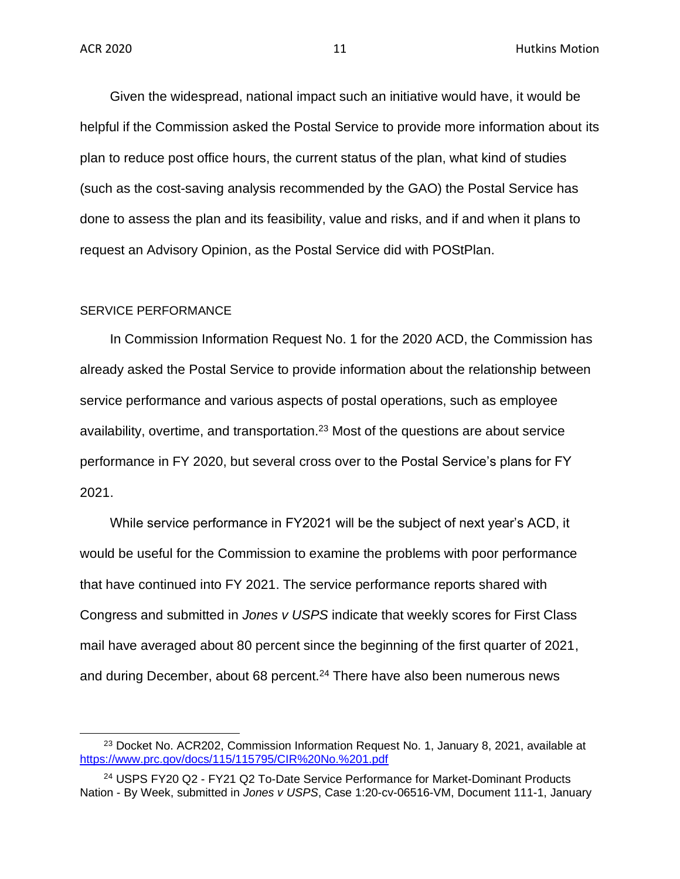Given the widespread, national impact such an initiative would have, it would be helpful if the Commission asked the Postal Service to provide more information about its plan to reduce post office hours, the current status of the plan, what kind of studies (such as the cost-saving analysis recommended by the GAO) the Postal Service has done to assess the plan and its feasibility, value and risks, and if and when it plans to request an Advisory Opinion, as the Postal Service did with POStPlan.

#### SERVICE PERFORMANCE

In Commission Information Request No. 1 for the 2020 ACD, the Commission has already asked the Postal Service to provide information about the relationship between service performance and various aspects of postal operations, such as employee availability, overtime, and transportation.<sup>23</sup> Most of the questions are about service performance in FY 2020, but several cross over to the Postal Service's plans for FY 2021.

While service performance in FY2021 will be the subject of next year's ACD, it would be useful for the Commission to examine the problems with poor performance that have continued into FY 2021. The service performance reports shared with Congress and submitted in *Jones v USPS* indicate that weekly scores for First Class mail have averaged about 80 percent since the beginning of the first quarter of 2021, and during December, about 68 percent.<sup>24</sup> There have also been numerous news

<sup>&</sup>lt;sup>23</sup> Docket No. ACR202, Commission Information Request No. 1, January 8, 2021, available at <https://www.prc.gov/docs/115/115795/CIR%20No.%201.pdf>

<sup>24</sup> USPS FY20 Q2 - FY21 Q2 To-Date Service Performance for Market-Dominant Products Nation - By Week, submitted in *Jones v USPS*, Case 1:20-cv-06516-VM, Document 111-1, January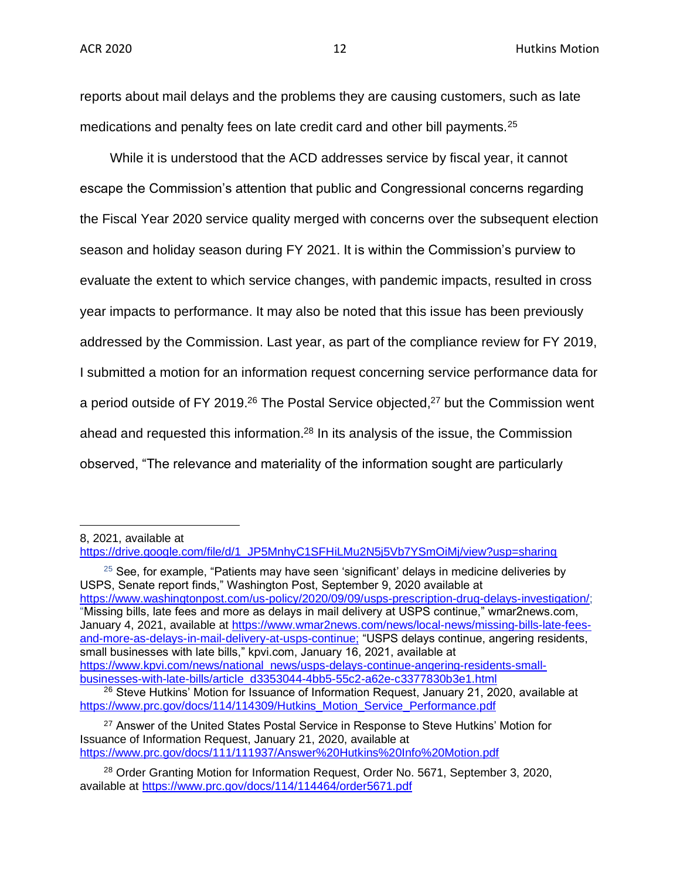reports about mail delays and the problems they are causing customers, such as late medications and penalty fees on late credit card and other bill payments.<sup>25</sup>

While it is understood that the ACD addresses service by fiscal year, it cannot escape the Commission's attention that public and Congressional concerns regarding the Fiscal Year 2020 service quality merged with concerns over the subsequent election season and holiday season during FY 2021. It is within the Commission's purview to evaluate the extent to which service changes, with pandemic impacts, resulted in cross year impacts to performance. It may also be noted that this issue has been previously addressed by the Commission. Last year, as part of the compliance review for FY 2019, I submitted a motion for an information request concerning service performance data for a period outside of FY 2019.<sup>26</sup> The Postal Service objected,<sup>27</sup> but the Commission went ahead and requested this information.<sup>28</sup> In its analysis of the issue, the Commission observed, "The relevance and materiality of the information sought are particularly

 $25$  See, for example, "Patients may have seen 'significant' delays in medicine deliveries by USPS, Senate report finds," Washington Post, September 9, 2020 available at [https://www.washingtonpost.com/us-policy/2020/09/09/usps-prescription-drug-delays-investigation/;](https://www.washingtonpost.com/us-policy/2020/09/09/usps-prescription-drug-delays-investigation/) "Missing bills, late fees and more as delays in mail delivery at USPS continue," wmar2news.com, January 4, 2021, available at [https://www.wmar2news.com/news/local-news/missing-bills-late-fees](https://www.wmar2news.com/news/local-news/missing-bills-late-fees-and-more-as-delays-in-mail-delivery-at-usps-continue)[and-more-as-delays-in-mail-delivery-at-usps-continue;](https://www.wmar2news.com/news/local-news/missing-bills-late-fees-and-more-as-delays-in-mail-delivery-at-usps-continue) "USPS delays continue, angering residents, small businesses with late bills," kpvi.com, January 16, 2021, available at [https://www.kpvi.com/news/national\\_news/usps-delays-continue-angering-residents-small](https://www.kpvi.com/news/national_news/usps-delays-continue-angering-residents-small-businesses-with-late-bills/article_d3353044-4bb5-55c2-a62e-c3377830b3e1.html)[businesses-with-late-bills/article\\_d3353044-4bb5-55c2-a62e-c3377830b3e1.html](https://www.kpvi.com/news/national_news/usps-delays-continue-angering-residents-small-businesses-with-late-bills/article_d3353044-4bb5-55c2-a62e-c3377830b3e1.html)

 $26$  Steve Hutkins' Motion for Issuance of Information Request, January 21, 2020, available at [https://www.prc.gov/docs/114/114309/Hutkins\\_Motion\\_Service\\_Performance.pdf](https://www.prc.gov/docs/114/114309/Hutkins_Motion_Service_Performance.pdf)

<sup>27</sup> Answer of the United States Postal Service in Response to Steve Hutkins' Motion for Issuance of Information Request, January 21, 2020, available at <https://www.prc.gov/docs/111/111937/Answer%20Hutkins%20Info%20Motion.pdf>

<sup>8, 2021,</sup> available at

[https://drive.google.com/file/d/1\\_JP5MnhyC1SFHiLMu2N5j5Vb7YSmOiMj/view?usp=sharing](https://drive.google.com/file/d/1_JP5MnhyC1SFHiLMu2N5j5Vb7YSmOiMj/view?usp=sharing)

<sup>&</sup>lt;sup>28</sup> Order Granting Motion for Information Request, Order No. 5671, September 3, 2020, available at<https://www.prc.gov/docs/114/114464/order5671.pdf>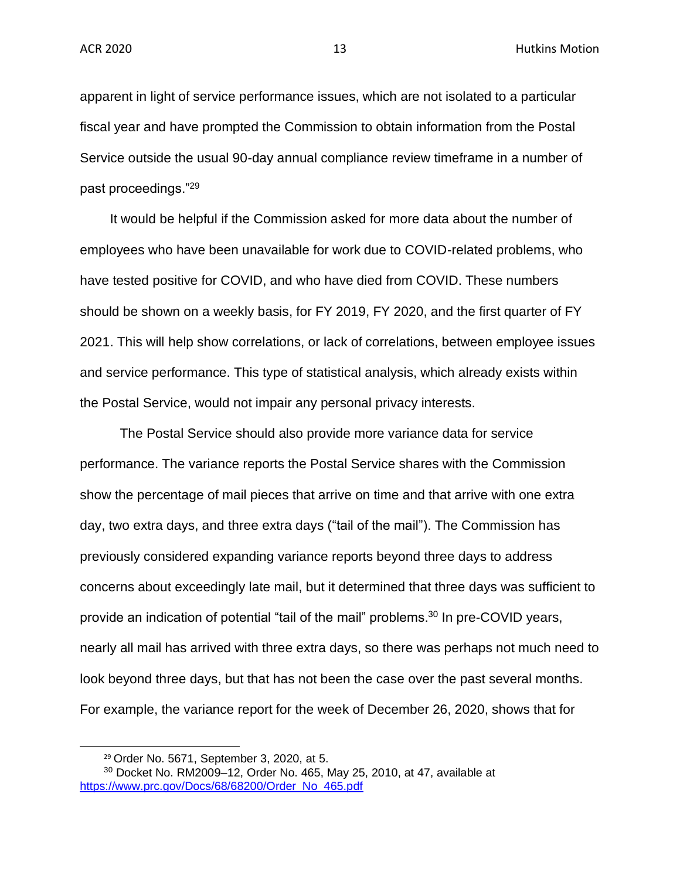apparent in light of service performance issues, which are not isolated to a particular fiscal year and have prompted the Commission to obtain information from the Postal Service outside the usual 90-day annual compliance review timeframe in a number of past proceedings."<sup>29</sup>

It would be helpful if the Commission asked for more data about the number of employees who have been unavailable for work due to COVID-related problems, who have tested positive for COVID, and who have died from COVID. These numbers should be shown on a weekly basis, for FY 2019, FY 2020, and the first quarter of FY 2021. This will help show correlations, or lack of correlations, between employee issues and service performance. This type of statistical analysis, which already exists within the Postal Service, would not impair any personal privacy interests.

The Postal Service should also provide more variance data for service performance. The variance reports the Postal Service shares with the Commission show the percentage of mail pieces that arrive on time and that arrive with one extra day, two extra days, and three extra days ("tail of the mail"). The Commission has previously considered expanding variance reports beyond three days to address concerns about exceedingly late mail, but it determined that three days was sufficient to provide an indication of potential "tail of the mail" problems.<sup>30</sup> In pre-COVID years, nearly all mail has arrived with three extra days, so there was perhaps not much need to look beyond three days, but that has not been the case over the past several months. For example, the variance report for the week of December 26, 2020, shows that for

<sup>29</sup> Order No. 5671, September 3, 2020, at 5.

<sup>30</sup> Docket No. RM2009–12, Order No. 465, May 25, 2010, at 47, available at [https://www.prc.gov/Docs/68/68200/Order\\_No\\_465.pdf](https://www.prc.gov/Docs/68/68200/Order_No_465.pdf)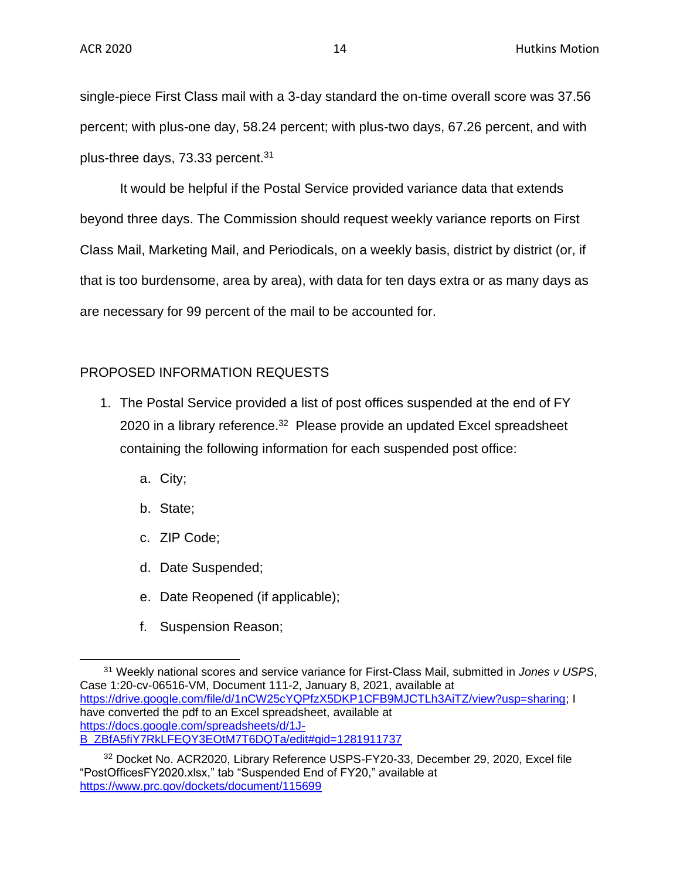single-piece First Class mail with a 3-day standard the on-time overall score was 37.56 percent; with plus-one day, 58.24 percent; with plus-two days, 67.26 percent, and with plus-three days, 73.33 percent.<sup>31</sup>

It would be helpful if the Postal Service provided variance data that extends beyond three days. The Commission should request weekly variance reports on First Class Mail, Marketing Mail, and Periodicals, on a weekly basis, district by district (or, if that is too burdensome, area by area), with data for ten days extra or as many days as are necessary for 99 percent of the mail to be accounted for.

# PROPOSED INFORMATION REQUESTS

- 1. The Postal Service provided a list of post offices suspended at the end of FY 2020 in a library reference.<sup>32</sup> Please provide an updated Excel spreadsheet containing the following information for each suspended post office:
	- a. City;
	- b. State;
	- c. ZIP Code;
	- d. Date Suspended;
	- e. Date Reopened (if applicable);
	- f. Suspension Reason;

<sup>31</sup> Weekly national scores and service variance for First-Class Mail, submitted in *Jones v USPS*, Case 1:20-cv-06516-VM, Document 111-2, January 8, 2021, available at [https://drive.google.com/file/d/1nCW25cYQPfzX5DKP1CFB9MJCTLh3AiTZ/view?usp=sharing;](https://drive.google.com/file/d/1nCW25cYQPfzX5DKP1CFB9MJCTLh3AiTZ/view?usp=sharing) I have converted the pdf to an Excel spreadsheet, available at [https://docs.google.com/spreadsheets/d/1J-](https://docs.google.com/spreadsheets/d/1J-B_ZBfA5fiY7RkLFEQY3EOtM7T6DQTa/edit#gid=1281911737)[B\\_ZBfA5fiY7RkLFEQY3EOtM7T6DQTa/edit#gid=1281911737](https://docs.google.com/spreadsheets/d/1J-B_ZBfA5fiY7RkLFEQY3EOtM7T6DQTa/edit#gid=1281911737)

<sup>32</sup> Docket No. ACR2020, Library Reference USPS-FY20-33, December 29, 2020, Excel file "PostOfficesFY2020.xlsx," tab "Suspended End of FY20," available at <https://www.prc.gov/dockets/document/115699>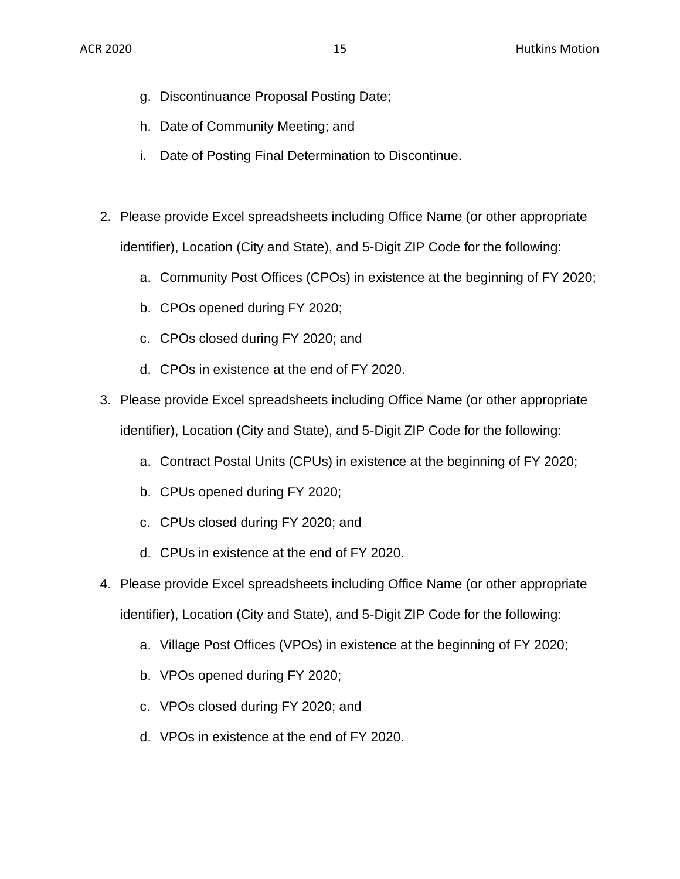- g. Discontinuance Proposal Posting Date;
- h. Date of Community Meeting; and
- i. Date of Posting Final Determination to Discontinue.
- 2. Please provide Excel spreadsheets including Office Name (or other appropriate identifier), Location (City and State), and 5-Digit ZIP Code for the following:
	- a. Community Post Offices (CPOs) in existence at the beginning of FY 2020;
	- b. CPOs opened during FY 2020;
	- c. CPOs closed during FY 2020; and
	- d. CPOs in existence at the end of FY 2020.
- 3. Please provide Excel spreadsheets including Office Name (or other appropriate identifier), Location (City and State), and 5-Digit ZIP Code for the following:
	- a. Contract Postal Units (CPUs) in existence at the beginning of FY 2020;
	- b. CPUs opened during FY 2020;
	- c. CPUs closed during FY 2020; and
	- d. CPUs in existence at the end of FY 2020.
- 4. Please provide Excel spreadsheets including Office Name (or other appropriate identifier), Location (City and State), and 5-Digit ZIP Code for the following:
	- a. Village Post Offices (VPOs) in existence at the beginning of FY 2020;
	- b. VPOs opened during FY 2020;
	- c. VPOs closed during FY 2020; and
	- d. VPOs in existence at the end of FY 2020.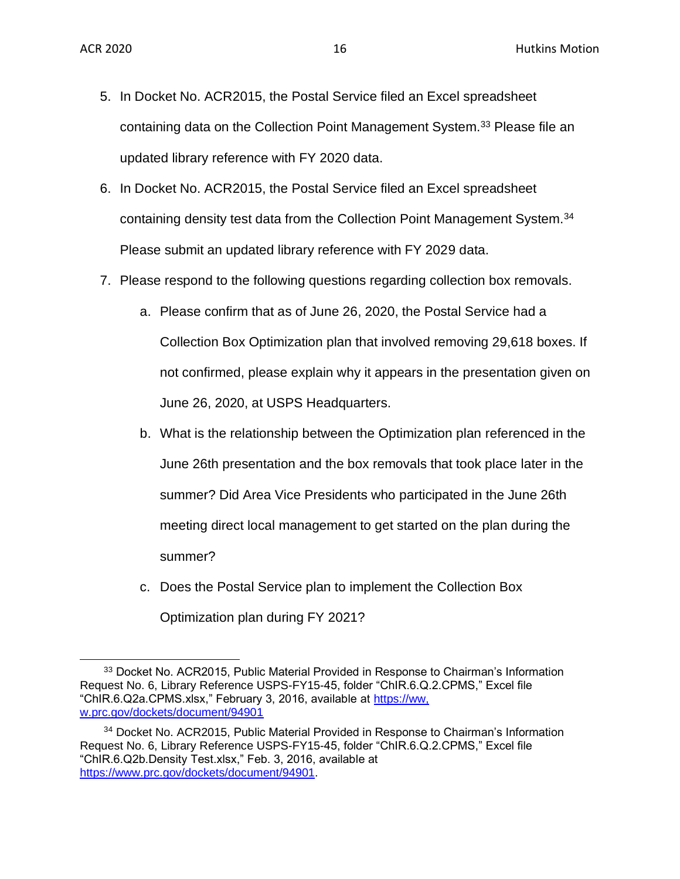- 5. In Docket No. ACR2015, the Postal Service filed an Excel spreadsheet containing data on the Collection Point Management System.<sup>33</sup> Please file an updated library reference with FY 2020 data.
- 6. In Docket No. ACR2015, the Postal Service filed an Excel spreadsheet containing density test data from the Collection Point Management System.<sup>34</sup> Please submit an updated library reference with FY 2029 data.
- 7. Please respond to the following questions regarding collection box removals.
	- a. Please confirm that as of June 26, 2020, the Postal Service had a Collection Box Optimization plan that involved removing 29,618 boxes. If not confirmed, please explain why it appears in the presentation given on June 26, 2020, at USPS Headquarters.
	- b. What is the relationship between the Optimization plan referenced in the June 26th presentation and the box removals that took place later in the summer? Did Area Vice Presidents who participated in the June 26th meeting direct local management to get started on the plan during the summer?
	- c. Does the Postal Service plan to implement the Collection Box Optimization plan during FY 2021?

<sup>&</sup>lt;sup>33</sup> Docket No. ACR2015, Public Material Provided in Response to Chairman's Information Request No. 6, Library Reference USPS-FY15-45, folder "ChIR.6.Q.2.CPMS," Excel file "ChIR.6.Q2a.CPMS.xlsx," February 3, 2016, available at https://ww. w.prc.gov/dockets/document/94901

<sup>34</sup> Docket No. ACR2015, Public Material Provided in Response to Chairman's Information Request No. 6, Library Reference USPS-FY15-45, folder "ChIR.6.Q.2.CPMS," Excel file "ChIR.6.Q2b.Density Test.xlsx," Feb. 3, 2016, available at [https://www.prc.gov/dockets/document/94901.](https://www.prc.gov/dockets/document/94901)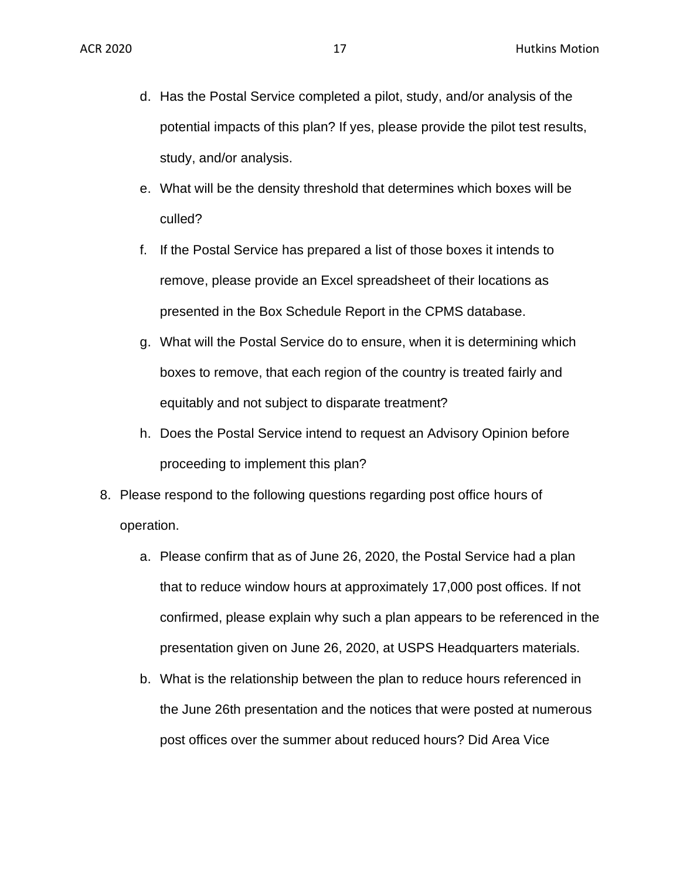- d. Has the Postal Service completed a pilot, study, and/or analysis of the potential impacts of this plan? If yes, please provide the pilot test results, study, and/or analysis.
- e. What will be the density threshold that determines which boxes will be culled?
- f. If the Postal Service has prepared a list of those boxes it intends to remove, please provide an Excel spreadsheet of their locations as presented in the Box Schedule Report in the CPMS database.
- g. What will the Postal Service do to ensure, when it is determining which boxes to remove, that each region of the country is treated fairly and equitably and not subject to disparate treatment?
- h. Does the Postal Service intend to request an Advisory Opinion before proceeding to implement this plan?
- 8. Please respond to the following questions regarding post office hours of operation.
	- a. Please confirm that as of June 26, 2020, the Postal Service had a plan that to reduce window hours at approximately 17,000 post offices. If not confirmed, please explain why such a plan appears to be referenced in the presentation given on June 26, 2020, at USPS Headquarters materials.
	- b. What is the relationship between the plan to reduce hours referenced in the June 26th presentation and the notices that were posted at numerous post offices over the summer about reduced hours? Did Area Vice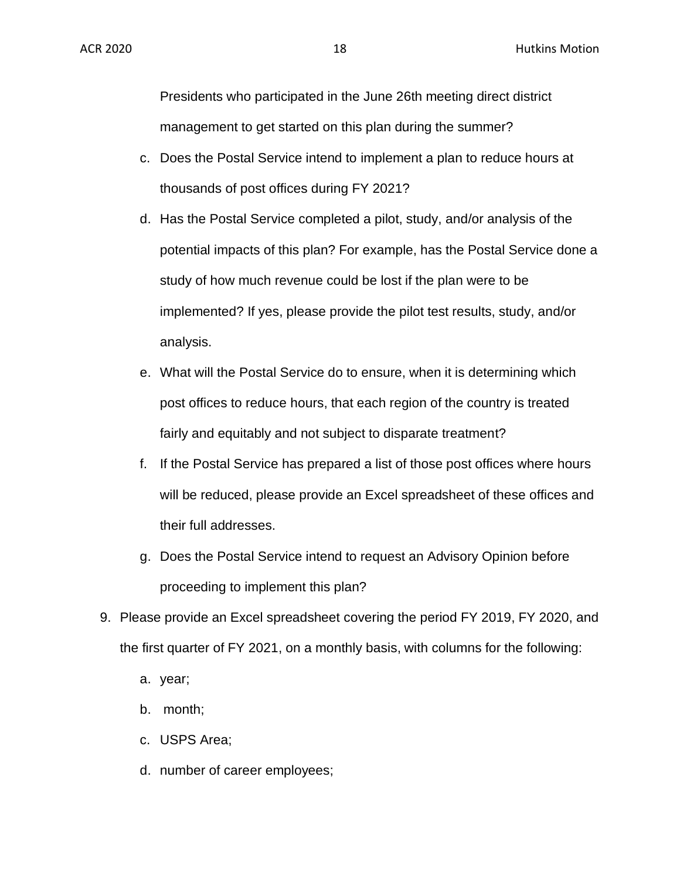Presidents who participated in the June 26th meeting direct district management to get started on this plan during the summer?

- c. Does the Postal Service intend to implement a plan to reduce hours at thousands of post offices during FY 2021?
- d. Has the Postal Service completed a pilot, study, and/or analysis of the potential impacts of this plan? For example, has the Postal Service done a study of how much revenue could be lost if the plan were to be implemented? If yes, please provide the pilot test results, study, and/or analysis.
- e. What will the Postal Service do to ensure, when it is determining which post offices to reduce hours, that each region of the country is treated fairly and equitably and not subject to disparate treatment?
- f. If the Postal Service has prepared a list of those post offices where hours will be reduced, please provide an Excel spreadsheet of these offices and their full addresses.
- g. Does the Postal Service intend to request an Advisory Opinion before proceeding to implement this plan?
- 9. Please provide an Excel spreadsheet covering the period FY 2019, FY 2020, and the first quarter of FY 2021, on a monthly basis, with columns for the following:
	- a. year;
	- b. month;
	- c. USPS Area;
	- d. number of career employees;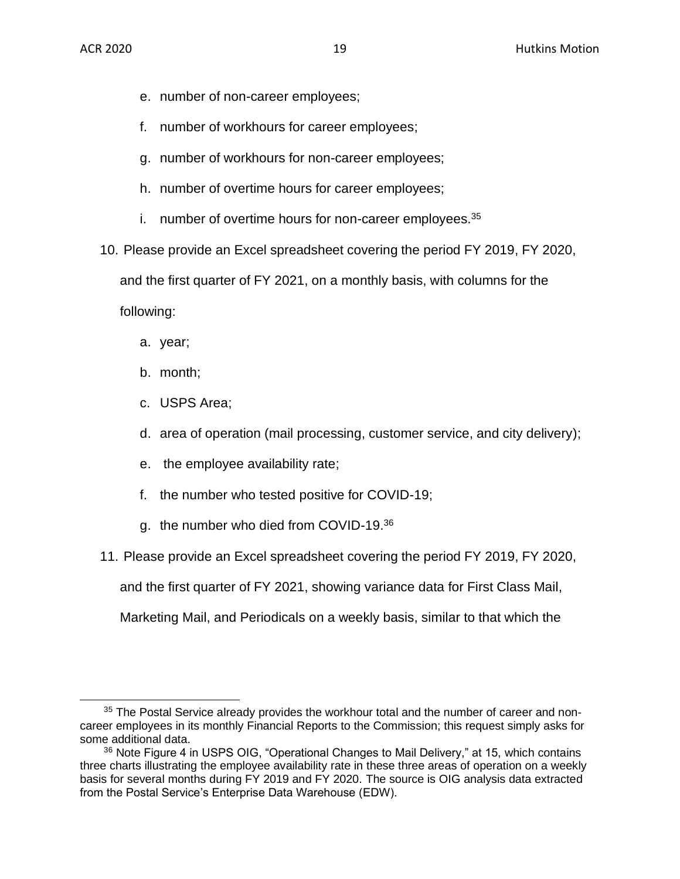- e. number of non-career employees;
- f. number of workhours for career employees;
- g. number of workhours for non-career employees;
- h. number of overtime hours for career employees;
- i. number of overtime hours for non-career employees. $35$
- 10. Please provide an Excel spreadsheet covering the period FY 2019, FY 2020,

and the first quarter of FY 2021, on a monthly basis, with columns for the

following:

- a. year;
- b. month;
- c. USPS Area;
- d. area of operation (mail processing, customer service, and city delivery);
- e. the employee availability rate;
- f. the number who tested positive for COVID-19;
- g. the number who died from COVID-19.<sup>36</sup>
- 11. Please provide an Excel spreadsheet covering the period FY 2019, FY 2020,

and the first quarter of FY 2021, showing variance data for First Class Mail,

Marketing Mail, and Periodicals on a weekly basis, similar to that which the

<sup>&</sup>lt;sup>35</sup> The Postal Service already provides the workhour total and the number of career and noncareer employees in its monthly Financial Reports to the Commission; this request simply asks for some additional data.

<sup>&</sup>lt;sup>36</sup> Note Figure 4 in USPS OIG, "Operational Changes to Mail Delivery," at 15, which contains three charts illustrating the employee availability rate in these three areas of operation on a weekly basis for several months during FY 2019 and FY 2020. The source is OIG analysis data extracted from the Postal Service's Enterprise Data Warehouse (EDW).